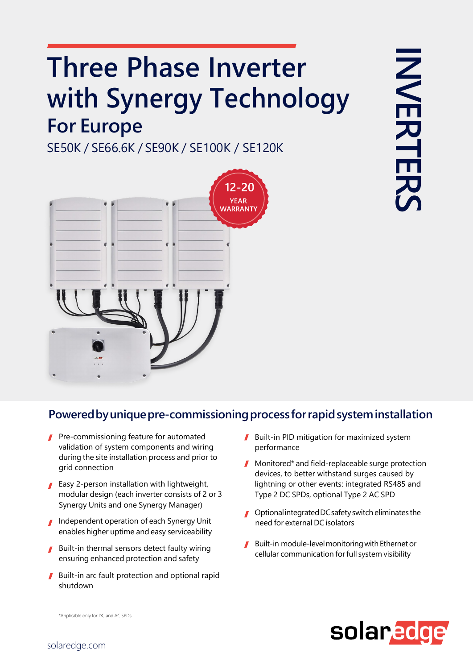## **Three Phase Inverter with Synergy Technology For Europe**

SE50K / SE66.6K / SE90K / SE100K / SE120K



## **Poweredbyuniquepre-commissioningprocess forrapidsysteminstallation**

- **Pre-commissioning feature for automated** validation of system components and wiring during the site installation process and prior to grid connection
- **Easy 2-person installation with lightweight,** modular design (each inverter consists of 2 or 3 Synergy Units and one Synergy Manager)
- Independent operation of each Synergy Unit enables higher uptime and easy serviceability
- Built-in thermal sensors detect faulty wiring ensuring enhanced protection and safety
- Built-in arc fault protection and optional rapid shutdown
- Built-in PID mitigation for maximized system performance
- **Monitored\*** and field-replaceable surge protection devices, to better withstand surges caused by lightning or other events: integrated RS485 and Type 2 DC SPDs, optional Type 2 AC SPD
- Optional integrated DC safety switch eliminates the need for external DC isolators
- Built-in module-level monitoring with Ethernet or cellular communication forfull system visibility



\*Applicable only for DC and AC SPDs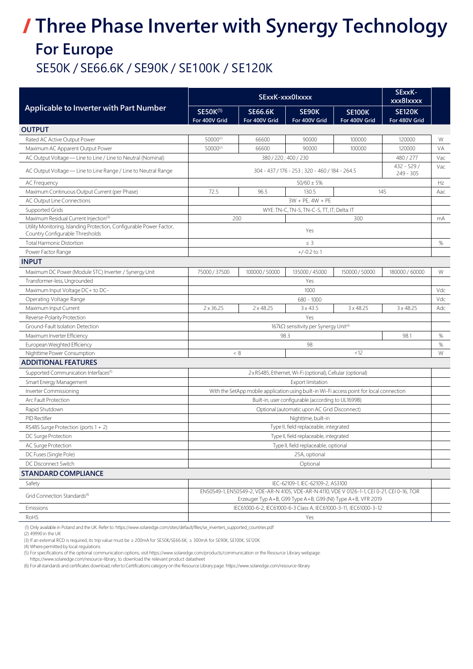## **Three Phase Inverter with Synergy Technology For Europe** SE50K / SE66.6K / SE90K / SE100K / SE120K

| Applicable to Inverter with Part Number                                                                 | SExxK-xxx0Ixxxx                                                                                                                                            |                                 |                                  |                                | SExxK-<br>xxx8lxxxx            |      |
|---------------------------------------------------------------------------------------------------------|------------------------------------------------------------------------------------------------------------------------------------------------------------|---------------------------------|----------------------------------|--------------------------------|--------------------------------|------|
|                                                                                                         | <b>SE50K(1)</b><br>For 400V Grid                                                                                                                           | <b>SE66.6K</b><br>For 400V Grid | SE90K<br>For 400V Grid           | <b>SE100K</b><br>For 400V Grid | <b>SE120K</b><br>For 480V Grid |      |
| <b>OUTPUT</b>                                                                                           |                                                                                                                                                            |                                 |                                  |                                |                                |      |
| Rated AC Active Output Power                                                                            | 50000(2)                                                                                                                                                   | 66600                           | 90000                            | 100000                         | 120000                         | W    |
| Maximum AC Apparent Output Power                                                                        | 50000(2)                                                                                                                                                   | 66600                           | 90000                            | 100000                         | 120000                         | VA   |
| AC Output Voltage - Line to Line / Line to Neutral (Nominal)                                            |                                                                                                                                                            |                                 | 380 / 220; 400 / 230             |                                | 480 / 277                      | Vac  |
| AC Output Voltage - Line to Line Range / Line to Neutral Range                                          | $432 - 529/$<br>304 - 437 / 176 - 253 ; 320 - 460 / 184 - 264.5<br>$249 - 305$                                                                             |                                 |                                  |                                |                                | Vac  |
| <b>AC Frequency</b>                                                                                     |                                                                                                                                                            |                                 | $50/60 \pm 5%$                   |                                |                                | Hz   |
| Maximum Continuous Output Current (per Phase)                                                           | 72.5                                                                                                                                                       | 96.5                            | 130.5                            |                                | 145                            | Aac  |
| AC Output Line Connections                                                                              | $3W + PE$ , $4W + PE$                                                                                                                                      |                                 |                                  |                                |                                |      |
| Supported Grids                                                                                         | WYE: TN-C, TN-S, TN-C-S, TT, IT; Delta: IT                                                                                                                 |                                 |                                  |                                |                                |      |
| Maximum Residual Current Injection <sup>(3)</sup>                                                       |                                                                                                                                                            | 200                             |                                  | 300                            |                                | mA   |
| Utility Monitoring, Islanding Protection, Configurable Power Factor,<br>Country Configurable Thresholds |                                                                                                                                                            |                                 | Yes                              |                                |                                |      |
| <b>Total Harmonic Distortion</b>                                                                        |                                                                                                                                                            |                                 | $\leq$ 3                         |                                |                                | $\%$ |
| Power Factor Range                                                                                      |                                                                                                                                                            |                                 | $+/-0.2$ to 1                    |                                |                                |      |
| <b>INPUT</b>                                                                                            |                                                                                                                                                            |                                 |                                  |                                |                                |      |
| Maximum DC Power (Module STC) Inverter / Synergy Unit                                                   | 75000 / 37500                                                                                                                                              | 100000 / 50000                  | 135000 / 45000                   | 150000 / 50000                 | 180000 / 60000                 | W    |
| Transformer-less, Ungrounded                                                                            |                                                                                                                                                            |                                 | Yes                              |                                |                                |      |
| Maximum Input Voltage DC+ to DC-                                                                        | 1000                                                                                                                                                       |                                 |                                  |                                | Vdc                            |      |
| Operating Voltage Range                                                                                 | $680 - 1000$                                                                                                                                               |                                 |                                  |                                | Vdc                            |      |
| Maximum Input Current                                                                                   | 2 x 36.25                                                                                                                                                  | $2 \times 48.25$                | $3 \times 43.5$                  | $3 \times 48.25$               | 3 x 48.25                      | Adc  |
| Reverse-Polarity Protection                                                                             |                                                                                                                                                            |                                 | Yes                              |                                |                                |      |
| Ground-Fault Isolation Detection                                                                        | 167kΩ sensitivity per Synergy Unit <sup>(4)</sup>                                                                                                          |                                 |                                  |                                |                                |      |
| Maximum Inverter Efficiency                                                                             |                                                                                                                                                            |                                 | 98.3                             |                                | 98.1                           | $\%$ |
| European Weighted Efficiency                                                                            | 98                                                                                                                                                         |                                 |                                  |                                | $\%$                           |      |
| Nighttime Power Consumption                                                                             |                                                                                                                                                            | < 8                             |                                  | < 12                           |                                | W    |
| ADDITIONAL FEATURES                                                                                     |                                                                                                                                                            |                                 |                                  |                                |                                |      |
| Supported Communication Interfaces <sup>(5)</sup>                                                       | 2xRS485, Ethernet, Wi-Fi (optional), Cellular (optional)                                                                                                   |                                 |                                  |                                |                                |      |
| Smart Energy Management                                                                                 | <b>Export limitation</b>                                                                                                                                   |                                 |                                  |                                |                                |      |
| Inverter Commissioning                                                                                  | With the SetApp mobile application using built-in Wi-Fi access point for local connection                                                                  |                                 |                                  |                                |                                |      |
| Arc Fault Protection                                                                                    | Built-in, user configurable (according to UL1699B)                                                                                                         |                                 |                                  |                                |                                |      |
| Rapid Shutdown                                                                                          | Optional (automatic upon AC Grid Disconnect)                                                                                                               |                                 |                                  |                                |                                |      |
| PID Rectifier                                                                                           | Nighttime, built-in                                                                                                                                        |                                 |                                  |                                |                                |      |
| RS485 Surge Protection (ports 1 + 2)                                                                    | Type II, field replaceable, integrated                                                                                                                     |                                 |                                  |                                |                                |      |
| DC Surge Protection                                                                                     | Type II, field replaceable, integrated                                                                                                                     |                                 |                                  |                                |                                |      |
| AC Surge Protection                                                                                     | Type II, field replaceable, optional                                                                                                                       |                                 |                                  |                                |                                |      |
| DC Fuses (Single Pole)                                                                                  | 25A, optional                                                                                                                                              |                                 |                                  |                                |                                |      |
| DC Disconnect Switch                                                                                    | Optional                                                                                                                                                   |                                 |                                  |                                |                                |      |
| STANDARD COMPLIANCE                                                                                     |                                                                                                                                                            |                                 |                                  |                                |                                |      |
| Safety                                                                                                  |                                                                                                                                                            |                                 | IEC-62109-1, IEC-62109-2, AS3100 |                                |                                |      |
| Grid Connection Standards <sup>(6)</sup>                                                                | EN50549-1, EN50549-2, VDE-AR-N 4105, VDE-AR-N 4110, VDE V 0126-1-1, CEI 0-21, CEI 0-16, TOR<br>Erzeuger Typ A+B, G99 Type A+B, G99 (NI) Type A+B, VFR 2019 |                                 |                                  |                                |                                |      |
| Emissions                                                                                               | IEC61000-6-2, IEC61000-6-3 Class A, IEC61000-3-11, IEC61000-3-12                                                                                           |                                 |                                  |                                |                                |      |
| RoHS                                                                                                    | Yes                                                                                                                                                        |                                 |                                  |                                |                                |      |

(1) Only available in Poland and the UK. Referto: [https://www.solaredge.com/sites/default/files/se\\_inverters\\_supported\\_cou](https://www.solaredge.com/sites/default/files/se_inverters_supported_countries.pdf)ntries.pdf

(2) 49990 in the UK

(3) If an external RCD isrequired, its trip value must be ≥ 200mA for SE50K/SE66.6K; ≥ 300mA for SE90K, SE100K, SE120K

(4) Wherepermitted by local regulations

(5) Forspecifications of the optional communication options, visit [https://www.solaredge.com/products/communication](https://www.solaredge.com/downloads) or the Resource Library webpage:

[https://www.solaredge.com/resource-library,](https://www.solaredge.com/downloads) to download the relevant product datasheet

(6) Forallstandards and certificates download,referto Certifications categoryon the Resource Librarypage: [https://www.solaredge.com/resou](https://www.solaredge.com/resource-library)rce-library